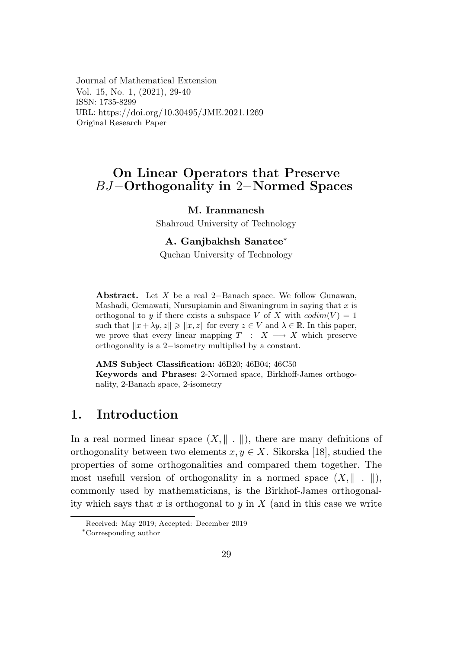Journal of Mathematical Extension Vol. 15, No. 1, (2021), 29-40 ISSN: 1735-8299 URL: https://doi.org/10.30495/JME.2021.1269 Original Research Paper

# On Linear Operators that Preserve  $BJ$ –Orthogonality in 2–Normed Spaces

#### M. Iranmanesh

Shahroud University of Technology

#### A. Ganibakhsh Sanatee\*

Quchan University of Technology

**Abstract.** Let X be a real 2-Banach space. We follow Gunawan, Mashadi, Gemawati, Nursupiamin and Siwaningrum in saying that  $x$  is orthogonal to y if there exists a subspace V of X with  $codim(V) = 1$ such that  $||x + \lambda y, z|| \ge ||x, z||$  for every  $z \in V$  and  $\lambda \in \mathbb{R}$ . In this paper, we prove that every linear mapping  $T : X \longrightarrow X$  which preserve orthogonality is a 2-isometry multiplied by a constant.

AMS Subject Classification: 46B20; 46B04; 46C50 Keywords and Phrases: 2-Normed space, Birkhoff-James orthogonality, 2-Banach space, 2-isometry

#### $\mathbf 1$ . Introduction

In a real normed linear space  $(X, \|\ \| \ )$ , there are many definitions of orthogonality between two elements  $x, y \in X$ . Sikorska [18], studied the properties of some orthogonalities and compared them together. The most usefull version of orthogonality in a normed space  $(X, \|\ \| \ \|)$ , commonly used by mathematicians, is the Birkhof-James orthogonality which says that x is orthogonal to y in  $X$  (and in this case we write

Received: May 2019; Accepted: December 2019

<sup>\*</sup>Corresponding author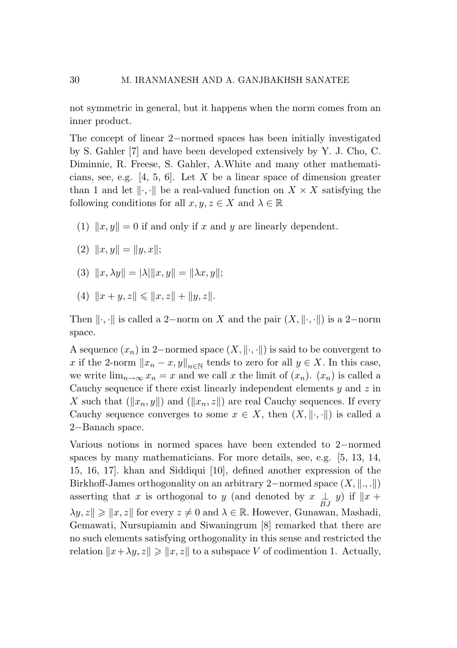not symmetric in general, but it happens when the norm comes from an inner product.

The concept of linear 2*−*normed spaces has been initially investigated by S. Gahler [7] and have been developed extensively by Y. J. Cho, C. Diminnie, R. Freese, S. Gahler, A.White and many other mathematicians, see, e.g. [4, 5, 6]. Let *X* be a linear space of dimension greater than 1 and let  $\|\cdot\|$ ,  $\|\cdot\|$  be a real-valued function on  $X \times X$  satisfying the following conditions for all  $x, y, z \in X$  and  $\lambda \in \mathbb{R}$ 

- (1)  $\|x,y\| = 0$  if and only if x and y are linearly dependent.
- $(2)$   $||x, y|| = ||y, x||;$
- $(3)$   $||x, \lambda y|| = |\lambda| ||x, y|| = ||\lambda x, y||;$
- (4)  $||x + y, z|| \le ||x, z|| + ||y, z||.$

Then  $\|\cdot,\cdot\|$  is called a 2–norm on *X* and the pair  $(X, \|\cdot,\cdot\|)$  is a 2–norm space.

A sequence  $(x_n)$  in 2–normed space  $(X, \| \cdot, \cdot \|)$  is said to be convergent to *x* if the 2-norm  $||x_n - x, y||_{n \in \mathbb{N}}$  tends to zero for all  $y \in X$ . In this case, we write  $\lim_{n\to\infty}x_n=x$  and we call x the limit of  $(x_n)$ .  $(x_n)$  is called a Cauchy sequence if there exist linearly independent elements *y* and *z* in X such that  $(\Vert x_n, y \Vert)$  and  $(\Vert x_n, z \Vert)$  are real Cauchy sequences. If every Cauchy sequence converges to some  $x \in X$ , then  $(X, \|\cdot\|)$  is called a 2*−*Banach space.

Various notions in normed spaces have been extended to 2*−*normed spaces by many mathematicians. For more details, see, e.g. [5, 13, 14, 15, 16, 17]. khan and Siddiqui [10], defined another expression of the Birkhoff-James orthogonality on an arbitrary 2*−*normed space (*X, ., .*) asserting that *x* is orthogonal to *y* (and denoted by  $x \perp BJ$  *y*) if  $||x +$  $\lambda y, z \leq x, z \leq 0$  and  $\lambda \in \mathbb{R}$ . However, Gunawan, Mashadi, Gemawati, Nursupiamin and Siwaningrum [8] remarked that there are no such elements satisfying orthogonality in this sense and restricted the relation  $x + \lambda y, z \geqslant \|x, z\|$  to a subspace *V* of codimention 1. Actually,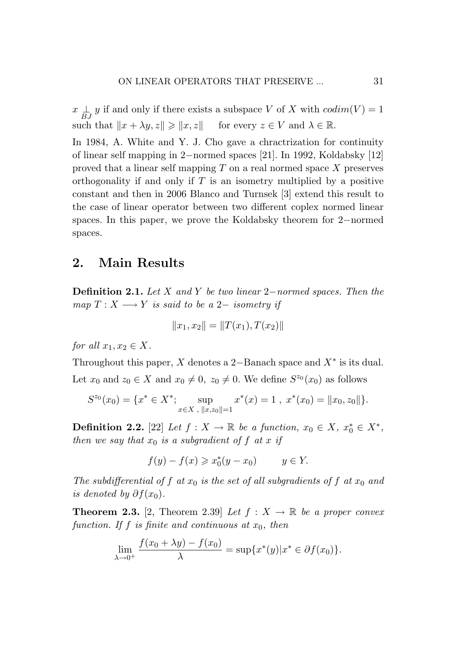*x*  $\frac{1}{BJ}$  *y* if and only if there exists a subspace *V* of *X* with  $codim(V) = 1$ such that  $\|x + \lambda y, z\| \ge \|x, z\|$  for every  $z \in V$  and  $\lambda \in \mathbb{R}$ .

In 1984, A. White and Y. J. Cho gave a chractrization for continuity of linear self mapping in 2*−*normed spaces [21]. In 1992, Koldabsky [12] proved that a linear self mapping *T* on a real normed space *X* preserves orthogonality if and only if *T* is an isometry multiplied by a positive constant and then in 2006 Blanco and Turnsek [3] extend this result to the case of linear operator between two different coplex normed linear spaces. In this paper, we prove the Koldabsky theorem for 2*−*normed spaces.

## 2. Main Results

Definition 2.1. *Let X and Y be two linear* 2*−normed spaces. Then the map*  $T: X \longrightarrow Y$  *is said to be a* 2*− isometry if* 

$$
||x_1, x_2|| = ||T(x_1), T(x_2)||
$$

*for all*  $x_1, x_2 \in X$ .

Throughout this paper, *X* denotes a 2*−*Banach space and *X<sup>∗</sup>* is its dual. Let  $x_0$  and  $z_0 \in X$  and  $x_0 \neq 0$ ,  $z_0 \neq 0$ . We define  $S^{z_0}(x_0)$  as follows

$$
S^{z_0}(x_0) = \{x^* \in X^*; \sup_{x \in X, ||x,z_0||=1} x^*(x) = 1, x^*(x_0) = ||x_0, z_0||\}.
$$

**Definition 2.2.** [22] *Let*  $f : X \to \mathbb{R}$  *be a function,*  $x_0 \in X$ ,  $x_0^* \in X^*$ , *then we say that*  $x_0$  *is a subgradient of*  $f$  *at*  $x$  *if* 

$$
f(y) - f(x) \geq x_0^*(y - x_0) \qquad y \in Y.
$$

*The subdifferential of*  $f$  *at*  $x_0$  *is the set of all subgradients of*  $f$  *at*  $x_0$  *and is denoted by*  $\partial f(x_0)$ *.* 

**Theorem 2.3.** [2, Theorem 2.39] Let  $f: X \to \mathbb{R}$  be a proper convex *function. If f is finite and continuous at x*0*, then*

$$
\lim_{\lambda \to 0^+} \frac{f(x_0 + \lambda y) - f(x_0)}{\lambda} = \sup \{ x^*(y) | x^* \in \partial f(x_0) \}.
$$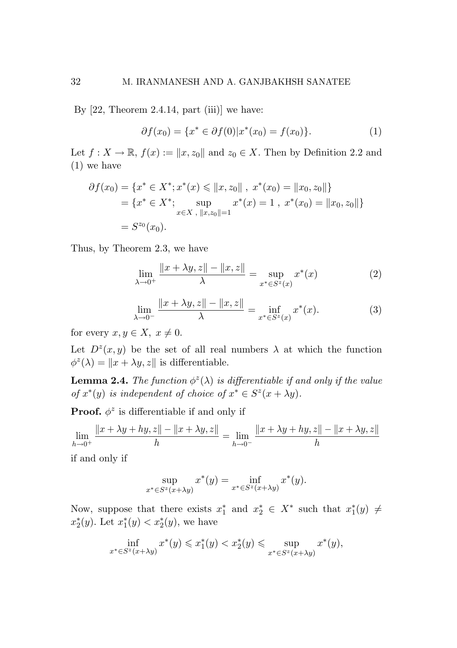By [22, Theorem 2.4.14, part (iii)] we have: By [22, Theorem 2.4.14, part (iii)] we have: By [22, Theorem 2.4.14, part (iii)] we have:

$$
\partial f(x_0) = \{x^* \in \partial f(0)|x^*(x_0) = f(x_0)\}.
$$
 (1)

Let  $f: X \to \mathbb{R}$ ,  $f(x) := ||x, z_0||$  and  $z_0 \in X$ . Then by Definition 2.2 and (1) we have (1) we have (1) we have

$$
\partial f(x_0) = \{x^* \in X^*; x^*(x) \le ||x, z_0||, x^*(x_0) = ||x_0, z_0||\}
$$
  
=  $\{x^* \in X^*; \sup_{x \in X, ||x, z_0|| = 1} x^*(x) = 1, x^*(x_0) = ||x_0, z_0||\}$   
=  $S^{z_0}(x_0).$ 

Thus, by Theorem 2.3, we have Thus, by Theorem 2.3, we have Thus, by Theorem 2.3, we have

$$
\lim_{\lambda \to 0^+} \frac{\|x + \lambda y, z\| - \|x, z\|}{\lambda} = \sup_{x^* \in S^z(x)} x^*(x) \tag{2}
$$

$$
\lim_{\lambda \to 0^{-}} \frac{\|x + \lambda y, z\| - \|x, z\|}{\lambda} = \inf_{x^* \in S^z(x)} x^*(x). \tag{3}
$$

for every  $x, y \in X$ ,  $x \neq 0$ .

Let  $D^z(x, y)$  be the set of all real numbers  $\lambda$  at which the function  $\phi^{z}(\lambda) = ||x + \lambda y, z||$  is differentiable.

**Lemma 2.4.** The function  $\phi^z(\lambda)$  is differentiable if and only if the value of  $x^*(y)$  is independent of choice of  $x^* \in S^z(x + \lambda y)$ .

Proof. *φ<sup>z</sup>* is differentiable if and only if Proof. *φ<sup>z</sup>* is differentiable if and only if Proof. *φ<sup>z</sup>* is differentiable if and only if

$$
\lim_{h \to 0^+} \frac{\|x + \lambda y + hy, z\| - \|x + \lambda y, z\|}{h} = \lim_{h \to 0^-} \frac{\|x + \lambda y + hy, z\| - \|x + \lambda y, z\|}{h}
$$

if and only if if and only if if and only if

$$
\sup_{x^* \in S^z(x + \lambda y)} x^*(y) = \inf_{x^* \in S^z(x + \lambda y)} x^*(y).
$$

Now, suppose that there exists  $x_1^*$  and  $x_2^* \in X^*$  such that  $x_1^*(y) \neq$ <br> $\ast$   $\rightarrow$  $x_2^*(y)$ . Let  $x_1^*(y) < x_2^*(y)$ , we have

$$
\inf_{x^* \in S^z(x + \lambda y)} x^*(y) \leq x_1^*(y) < x_2^*(y) \leq \sup_{x^* \in S^z(x + \lambda y)} x^*(y),
$$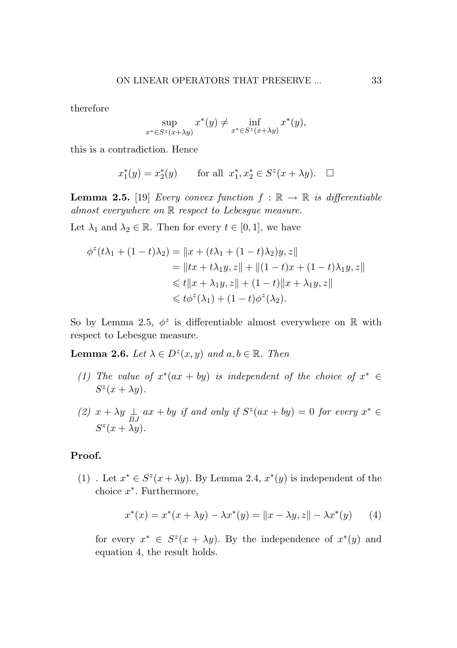therefore

$$
\sup_{x^* \in S^z(x + \lambda y)} x^*(y) \neq \inf_{x^* \in S^z(x + \lambda y)} x^*(y),
$$

this is a contradiction. Hence

$$
x_1^*(y) = x_2^*(y)
$$
 for all  $x_1^*, x_2^* \in S^z(x + \lambda y)$ .  $\Box$ 

**Lemma 2.5.** [19] *Every convex function*  $f : \mathbb{R} \to \mathbb{R}$  *is differentiable almost everywhere on* R *respect to Lebesgue measure.*

Let  $\lambda_1$  and  $\lambda_2 \in \mathbb{R}$ . Then for every  $t \in [0,1]$ , we have

$$
\phi^{z}(t\lambda_{1} + (1-t)\lambda_{2}) = ||x + (t\lambda_{1} + (1-t)\lambda_{2})y, z||
$$
  
\n
$$
= ||tx + t\lambda_{1}y, z|| + ||(1-t)x + (1-t)\lambda_{1}y, z||
$$
  
\n
$$
\leq t||x + \lambda_{1}y, z|| + (1-t)||x + \lambda_{1}y, z||
$$
  
\n
$$
\leq t\phi^{z}(\lambda_{1}) + (1-t)\phi^{z}(\lambda_{2}).
$$

So by Lemma 2.5,  $\phi^z$  is differentiable almost everywhere on R with respect to Lebesgue measure.

**Lemma 2.6.** *Let*  $\lambda \in D^z(x, y)$  *and*  $a, b \in \mathbb{R}$ *. Then* 

- *(1)* The value of  $x^*(ax + by)$  *is independent of the choice of*  $x^* \in$  $S^{z}(x + \lambda y)$ .
- *(2)*  $x + \lambda y \frac{1}{BJ}$   $ax + by$  *if and only if*  $S^z(ax + by) = 0$  *for every*  $x^* \in$  $S^{z}(x + \lambda y)$ .

#### Proof.

(1) . Let  $x^* \in S^z(x + \lambda y)$ . By Lemma 2.4,  $x^*(y)$  is independent of the choice *x∗*. Furthermore,

$$
x^*(x) = x^*(x + \lambda y) - \lambda x^*(y) = ||x - \lambda y, z|| - \lambda x^*(y)
$$
 (4)

for every  $x^* \in S^z(x + \lambda y)$ . By the independence of  $x^*(y)$  and equation 4, the result holds.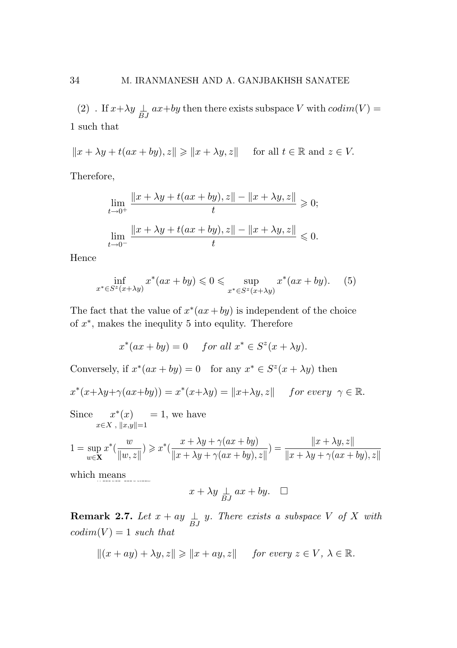(2) . If  $x+\lambda y \underset{BJ}{\perp} ax+by$  then there exists subspace  $V$  with  $codim(V)=$ 1 such that  $\overline{a}$ 

 $||x + \lambda y + t(ax + by), z|| \ge ||x + \lambda y, z||$  for all  $t \in \mathbb{R}$  and  $z \in V$ .

Therefore, Therefore, Therefore, Therefore, Therefore,

$$
\lim_{t \to 0^+} \frac{\|x + \lambda y + t(ax + by), z\| - \|x + \lambda y, z\|}{t} \ge 0;
$$
\n
$$
\lim_{t \to 0^-} \frac{\|x + \lambda y + t(ax + by), z\| - \|x + \lambda y, z\|}{t} \le 0.
$$

Hence Hence Hence Hence Hence

$$
\inf_{x^* \in S^z(x + \lambda y)} x^*(ax + by) \leq 0 \leq \sup_{x^* \in S^z(x + \lambda y)} x^*(ax + by). \tag{5}
$$

The fact that the value of  $x^*(ax+by)$  is independent of the choice of  $x^*$ , makes the inequility 5 into equility. Therefore

$$
x^*(ax+by) = 0 \quad \text{ for all } x^* \in S^z(x+\lambda y).
$$

Conversely, if  $x^*(ax + by) = 0$  for any  $x^* \in S^z(x + \lambda y)$  then

$$
x^*(x+\lambda y+\gamma(ax+by)) = x^*(x+\lambda y) = ||x+\lambda y, z|| \quad \text{for every } \gamma \in \mathbb{R}.
$$

Since  $x^*(x)$  $x∈X$ ,  $||x,y||=1$  $x^*(x) = 1$ , we have  $|x, y| = 1$ Since  $x^*(x) = 1$ , we have  $x \in X$ ,  $\Vert x, y \Vert$ = Since  $r^*(x) = 1$  we h *x∈X* ,  $||x,y||=1$  $x^*(x) = 1$ , we have  $|x, y| = 1$ ve have

$$
1 = \sup_{w \in \mathbf{X}} x^* \left( \frac{w}{\|w, z\|} \right) \geq x^* \left( \frac{x + \lambda y + \gamma(ax + by)}{\|x + \lambda y + \gamma(ax + by), z\|} \right) = \frac{\|x + \lambda y, z\|}{\|x + \lambda y + \gamma(ax + by), z\|}
$$

which means

$$
x + \lambda y \underset{BJ}{\perp} ax + by. \quad \square
$$

**Remark 2.7.** Let  $x + ay \perp_{BJ} y$ . There exists a subspace V of X with  $codim(V) = 1$  *such that* 

$$
||(x+ay)+\lambda y,z|| \ge ||x+ay,z|| \quad \text{ for every } z \in V, \ \lambda \in \mathbb{R}.
$$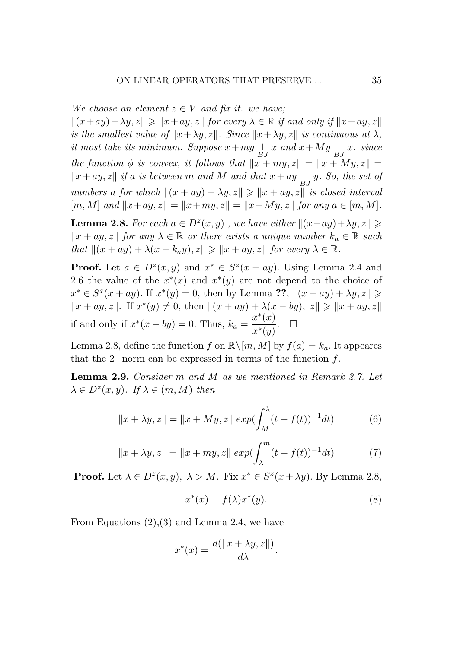*We choose an element*  $z \in V$  *and fix it. we have*;

 $||(x+ay)+\lambda y, z|| \ge ||x+ay, z||$  *for every*  $\lambda \in \mathbb{R}$  *if and only if*  $||x+ay, z||$ *is the smallest value of*  $\|x + \lambda y, z\|$ *. Since*  $\|x + \lambda y, z\|$  *is continuous at*  $\lambda$ *, it most take its minimum. Suppose*  $x + my \perp z \perp x$  and  $x + My \perp z \perp x$ *. since the function*  $\phi$  *is convex, it follows that*  $\|x + my, z\| = \|x + My, z\| =$  $||x + ay, z||$  *if a is between m and M and that*  $x + ay \frac{1}{BJ}y$ *. So, the set of numbers a for which*  $||(x + ay) + \lambda y, z|| \ge ||x + ay, z||$  *is closed interval*  $[m, M]$  *and*  $||x+ay, z|| = ||x+my, z|| = ||x+My, z||$  *for any*  $a \in [m, M]$ *.* 

**Lemma 2.8.** *For each*  $a \in D^z(x, y)$ , we have either  $||(x+ay)+\lambda y, z|| \geq$  $\|x + ay, z\|$  *for any*  $\lambda \in \mathbb{R}$  *or there exists a unique number*  $k_a \in \mathbb{R}$  *such that*  $||(x + ay) + \lambda(x - k_a y), z|| \geq ||x + ay, z||$  *for every*  $\lambda \in \mathbb{R}$ *.* 

**Proof.** Let  $a \in D^z(x, y)$  and  $x^* \in S^z(x + ay)$ . Using Lemma 2.4 and 2.6 the value of the  $x^*(x)$  and  $x^*(y)$  are not depend to the choice of *x*<sup>\*</sup> ∈ *S*<sup>*z*</sup>(*x* + *ay*). If *x*<sup>\*</sup>(*y*) = 0, then by Lemma ??,  $||(x + ay) + \lambda y, z||$  ≥  $||x + ay, z||$ . If  $x^*(y) \neq 0$ , then  $||(x + ay) + \lambda(x - by)$ ,  $z|| \geq ||x + ay, z||$ if and only if  $x^*(x - by) = 0$ . Thus,  $k_a = \frac{x^*(x)}{x^*(y)}$ . □

Lemma 2.8, define the function *f* on  $\mathbb{R}\setminus[m,M]$  by  $f(a) = k_a$ . It appeares that the 2*−*norm can be expressed in terms of the function *f*.

Lemma 2.9. *Consider m and M as we mentioned in Remark 2.7. Let*  $\lambda \in D^z(x, y)$ *. If*  $\lambda \in (m, M)$  *then* 

$$
||x + \lambda y, z|| = ||x + My, z|| \exp(\int_M^{\lambda} (t + f(t))^{-1} dt)
$$
 (6)

$$
||x + \lambda y, z|| = ||x + my, z|| \exp(\int_{\lambda}^{m} (t + f(t))^{-1} dt)
$$
 (7)

**Proof.** Let  $\lambda \in D^z(x, y)$ ,  $\lambda > M$ . Fix  $x^* \in S^z(x + \lambda y)$ . By Lemma 2.8,

$$
x^*(x) = f(\lambda)x^*(y). \tag{8}
$$

From Equations (2),(3) and Lemma 2.4, we have

$$
x^*(x) = \frac{d(\|x + \lambda y, z\|)}{d\lambda}.
$$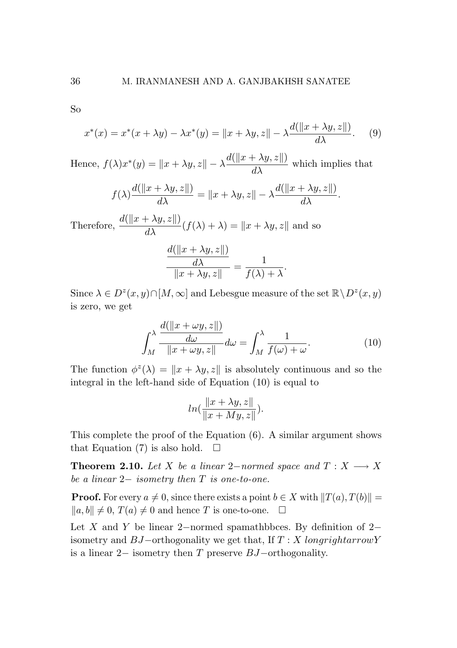So So

$$
x^*(x) = x^*(x + \lambda y) - \lambda x^*(y) = ||x + \lambda y, z|| - \lambda \frac{d(||x + \lambda y, z||)}{d\lambda}.
$$
 (9)

Hence,  $f(\lambda)x^*(y) = ||x + \lambda y, z|| - \lambda \frac{d(||x + \lambda y, z||)}{d\lambda}$  which implies that

$$
f(\lambda) \frac{d(||x + \lambda y, z||)}{d\lambda} = ||x + \lambda y, z|| - \lambda \frac{d(||x + \lambda y, z||)}{d\lambda}.
$$

Therefore,  $\frac{d(||x + \lambda y, z||)}{d\lambda} (f(\lambda) + \lambda) = ||x + \lambda y, z||$  and so

$$
\frac{\frac{d(\|x+\lambda y,z\|)}{d\lambda}}{\|x+\lambda y,z\|} = \frac{1}{f(\lambda)+\lambda}.
$$

Since  $\lambda \in D^z(x, y) \cap [M, \infty]$  and Lebesgue measure of the set  $\mathbb{R} \backslash D^z(x, y)$ is zero, we get is zero, we get

$$
\int_{M}^{\lambda} \frac{d(\|x + \omega y, z\|)}{\|x + \omega y, z\|} d\omega = \int_{M}^{\lambda} \frac{1}{f(\omega) + \omega}.
$$
 (10)

The function  $\phi^z(\lambda) = ||x + \lambda y, z||$  is absolutely continuous and so the integral in the left-hand side of Equation (10) is equal to integral in the left-hand side of Equation (10) is equal to

$$
ln(\frac{\|x+\lambda y,z\|}{\|x+My,z\|}).
$$

This complete the proof of the Equation (6). A similar argument shows This complete the proof of the Equation (6). A similar argument shows that Equation (7) is also hold.  $\square$ 

**Theorem 2.10.** Let X be a linear 2-normed space and  $T: X \longrightarrow X$ *be a linear* 2*− isometry then T is one-to-one. be a linear* 2*− isometry then T is one-to-one.*

**Proof.** For every  $a \neq 0$ , since there exists a point  $b \in X$  with  $||T(a), T(b)|| =$  $||a, b|| \neq 0$ ,  $T(a) \neq 0$  and hence *T* is one-to-one.  $\square$ 

Let *X* and *Y* be linear 2*−*normed spamathbbces. By definition of 2*−* Let *X*and *Y* be linear 2*−*normed spamathbbces. By definition of 2*−* isometry and *BJ−*orthogonality we get that, If *T* : *X longrightarrowY* isometry and *BJ−*orthogonality we get that, If *T* : *X longrightarrowY* is a linear 2*−* isometry then *T* preserve *BJ−*orthogonality. is a linear 2*−* isometry then *T* preserve *BJ−*orthogonality.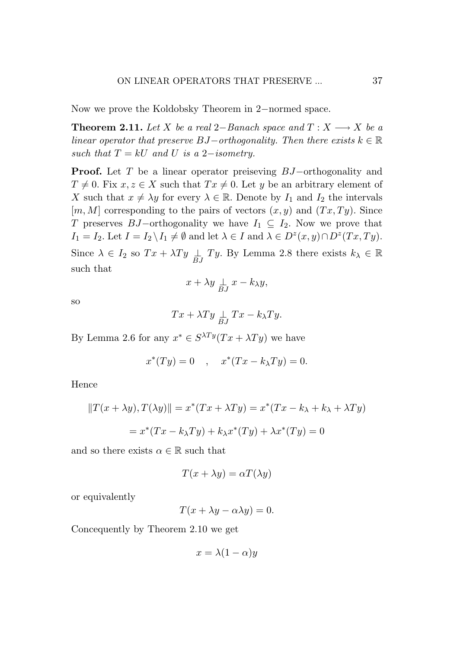Now we prove the Koldobsky Theorem in 2*−*normed space.

**Theorem 2.11.** *Let*  $X$  *be a real* 2−*Banach space and*  $T: X \longrightarrow X$  *be a linear operator that preserve*  $BJ$ *-* $orthogonality$ . Then there exists  $k \in \mathbb{R}$ *such that*  $T = kU$  *and*  $U$  *is a* 2*−isometry.* 

Proof. Let *T* be a linear operator preiseving *BJ−*orthogonality and  $T \neq 0$ . Fix  $x, z \in X$  such that  $Tx \neq 0$ . Let *y* be an arbitrary element of *X* such that  $x \neq \lambda y$  for every  $\lambda \in \mathbb{R}$ . Denote by  $I_1$  and  $I_2$  the intervals  $[m, M]$  corresponding to the pairs of vectors  $(x, y)$  and  $(Tx, Ty)$ . Since *T* preserves *BJ−*orthogonality we have *I*<sup>1</sup> *⊆ I*2. Now we prove that  $I_1 = I_2$ . Let  $I = I_2 \setminus I_1 \neq \emptyset$  and let  $\lambda \in I$  and  $\lambda \in D^z(x, y) \cap D^z(Tx, Ty)$ . Since  $\lambda \in I_2$  so  $Tx + \lambda Ty \perp \rightarrow J_1$  *Ty*. By Lemma 2.8 there exists  $k_{\lambda} \in \mathbb{R}$ such that

$$
x + \lambda y \underset{BJ}{\perp} x - k_{\lambda} y,
$$

so

$$
Tx + \lambda Ty \underset{BJ}{\perp} Tx - k_{\lambda} Ty.
$$

By Lemma 2.6 for any  $x^* \in S^{\lambda Ty}(Tx + \lambda Ty)$  we have

$$
x^*(Ty) = 0 \quad , \quad x^*(Tx - k_\lambda Ty) = 0.
$$

Hence

$$
||T(x + \lambda y), T(\lambda y)|| = x^*(Tx + \lambda Ty) = x^*(Tx - k_{\lambda} + k_{\lambda} + \lambda Ty)
$$

$$
= x^*(Tx - k_{\lambda} Ty) + k_{\lambda} x^*(Ty) + \lambda x^*(Ty) = 0
$$

and so there exists  $\alpha \in \mathbb{R}$  such that

$$
T(x + \lambda y) = \alpha T(\lambda y)
$$

or equivalently

 $T(x + \lambda y - \alpha \lambda y) = 0.$ 

Concequently by Theorem 2.10 we get

$$
x = \lambda (1 - \alpha) y
$$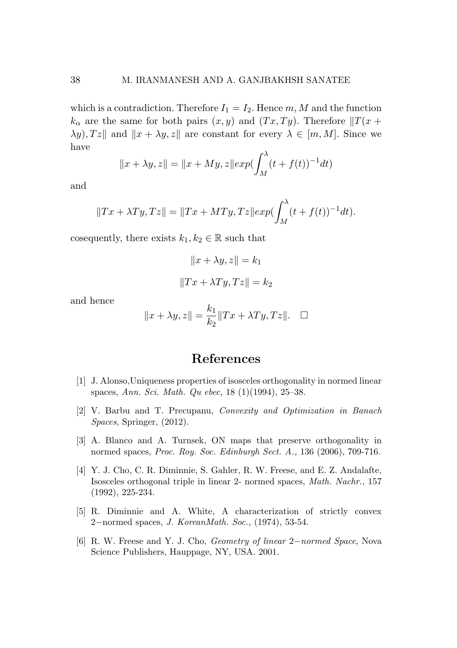which is a contradiction. Therefore  $I_1 = I_2$ . Hence  $m, M$  and the function  $k_{\alpha}$  are the same for both pairs  $(x, y)$  and  $(Tx, Ty)$ . Therefore  $||T(x + y)||$  $\lambda y$ *, Tz*<sup> $\parallel$ </sup> and  $\Vert x + \lambda y$ *, z* $\parallel$ <sup> *are constant for every*  $\lambda \in [m, M]$ . Since we</sup> have

$$
||x + \lambda y, z|| = ||x + My, z|| exp(\int_M^{\lambda} (t + f(t))^{-1} dt)
$$

and

$$
||Tx + \lambda Ty, Tz|| = ||Tx + MTy, Tz|| exp(\int_M^{\lambda} (t + f(t))^{-1} dt).
$$

cosequently, there exists  $k_1, k_2 \in \mathbb{R}$  such that

$$
||x + \lambda y, z|| = k_1
$$

$$
||Tx + \lambda Ty, Tz|| = k_2
$$

and hence

$$
||x + \lambda y, z|| = \frac{k_1}{k_2} ||Tx + \lambda Ty, Tz||. \quad \Box
$$

## References

- [1] J. Alonso,Uniqueness properties of isosceles orthogonality in normed linear spaces, *Ann. Sci. Math. Qu ebec,* 18 (1)(1994), 25–38.
- [2] V. Barbu and T. Precupanu, *Convexity and Optimization in Banach Spaces*, Springer, (2012).
- [3] A. Blanco and A. Turnsek, ON maps that preserve orthogonality in normed spaces, *Proc. Roy. Soc. Edinburgh Sect. A.,* 136 (2006), 709-716.
- [4] Y. J. Cho, C. R. Diminnie, S. Gahler, R. W. Freese, and E. Z. Andalafte, Isosceles orthogonal triple in linear 2- normed spaces, *Math. Nachr.,* 157 (1992), 225-234.
- [5] R. Diminnie and A. White, A characterization of strictly convex 2*−*normed spaces, *J. KoreanMath. Soc.,* (1974), 53-54.
- [6] R. W. Freese and Y. J. Cho, *Geometry of linear* 2*−normed Space*, Nova Science Publishers, Hauppage, NY, USA. 2001.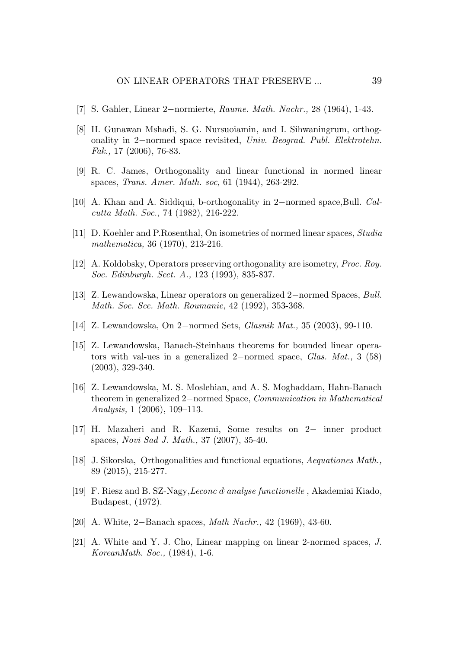- [7] S. Gahler, Linear 2*−*normierte, *Raume. Math. Nachr.,* 28 (1964), 1-43.
- [8] H. Gunawan Mshadi, S. G. Nursuoiamin, and I. Sihwaningrum, orthogonality in 2*−*normed space revisited, *Univ. Beograd. Publ. Elektrotehn. Fak.,* 17 (2006), 76-83.
- [9] R. C. James, Orthogonality and linear functional in normed linear spaces, *Trans. Amer. Math. soc,* 61 (1944), 263-292.
- [10] A. Khan and A. Siddiqui, b-orthogonality in 2*−*normed space,Bull. *Calcutta Math. Soc.,* 74 (1982), 216-222.
- [11] D. Koehler and P.Rosenthal, On isometries of normed linear spaces, *Studia mathematica,* 36 (1970), 213-216.
- [12] A. Koldobsky, Operators preserving orthogonality are isometry, *Proc. Roy. Soc. Edinburgh. Sect. A.,* 123 (1993), 835-837.
- [13] Z. Lewandowska, Linear operators on generalized 2*−*normed Spaces, *Bull. Math. Soc. Sce. Math. Roumanie,* 42 (1992), 353-368.
- [14] Z. Lewandowska, On 2*−*normed Sets, *Glasnik Mat.,* 35 (2003), 99-110.
- [15] Z. Lewandowska, Banach-Steinhaus theorems for bounded linear operators with val-ues in a generalized 2*−*normed space, *Glas. Mat.,* 3 (58) (2003), 329-340.
- [16] Z. Lewandowska, M. S. Moslehian, and A. S. Moghaddam, Hahn-Banach theorem in generalized 2*−*normed Space, *Communication in Mathematical Analysis,* 1 (2006), 109–113.
- [17] H. Mazaheri and R. Kazemi, Some results on 2*−* inner product spaces, *Novi Sad J. Math.,* 37 (2007), 35-40.
- [18] J. Sikorska, Orthogonalities and functional equations, *Aequationes Math.,* 89 (2015), 215-277.
- [19] F. Riesz and B. SZ-Nagy,*Leconc d, analyse functionelle* , Akademiai Kiado, Budapest, (1972).
- [20] A. White, 2*−*Banach spaces, *Math Nachr.,* 42 (1969), 43-60.
- [21] A. White and Y. J. Cho, Linear mapping on linear 2-normed spaces, *J. KoreanMath. Soc.,* (1984), 1-6.